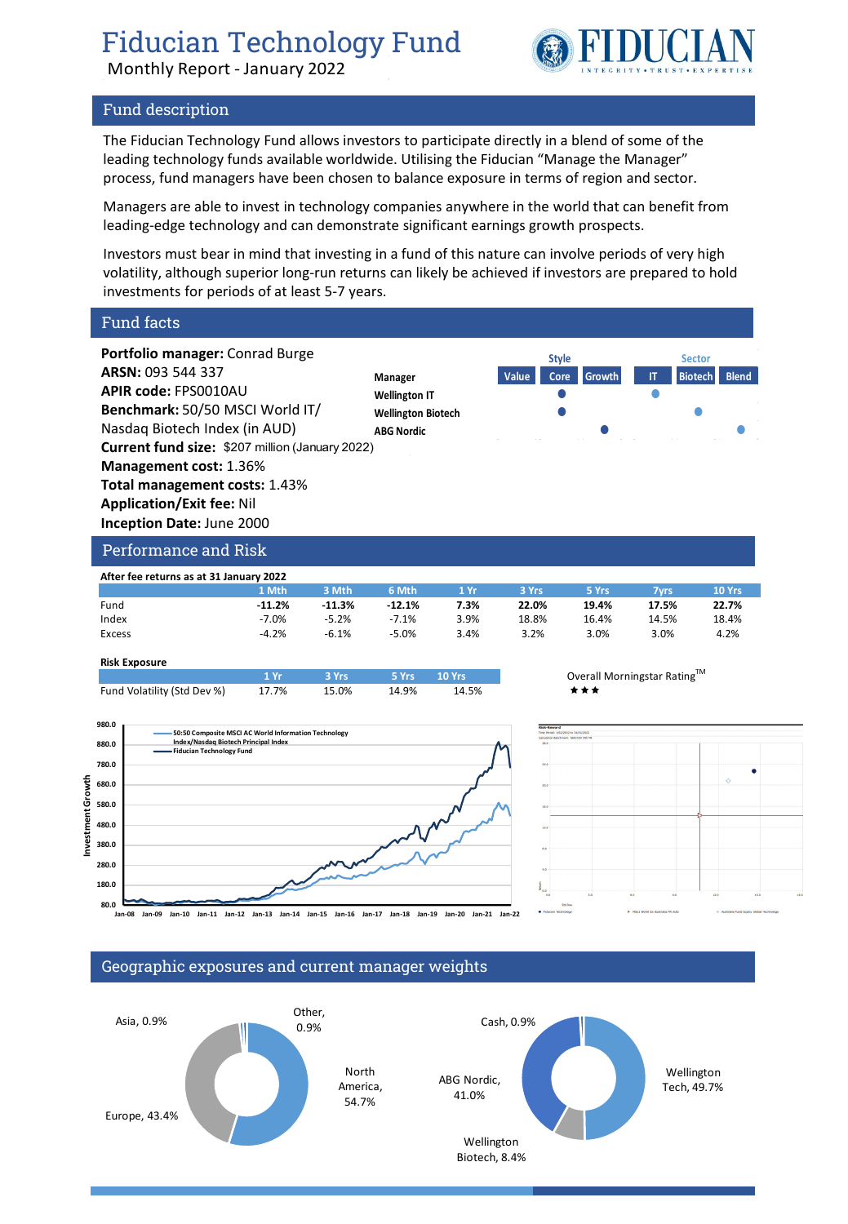Monthly Report - January 2022



## Fund description

The Fiducian Technology Fund allows investors to participate directly in a blend of some of the leading technology funds available worldwide. Utilising the Fiducian "Manage the Manager" process, fund managers have been chosen to balance exposure in terms of region and sector.

Managers are able to invest in technology companies anywhere in the world that can benefit from leading-edge technology and can demonstrate significant earnings growth prospects.

Investors must bear in mind that investing in a fund of this nature can involve periods of very high volatility, although superior long-run returns can likely be achieved if investors are prepared to hold investments for periods of at least 5-7 years.

Fund facts

**Portfolio manager:** Conrad Burge **ARSN:** 093 544 337 **APIR code:** FPS0010AU **Benchmark:** 50/50 MSCI World IT/ Nasdaq Biotech Index (in AUD) **Current fund size:** \$207 million (January 2022) **Management cost:** 1.36% **Total management costs:** 1.43% **Application/Exit fee:** Nil **Inception Date:** June 2000 **Manager Value Core Growth IT Biotech Blend Wellington IT Wellington Biotech ABG Nordic Style Sector**

### Performance and Risk

| After fee returns as at 31 January 2022 |          |          |          |      |       |       |       |        |
|-----------------------------------------|----------|----------|----------|------|-------|-------|-------|--------|
|                                         | 1 Mth    | 3 Mth    | 6 Mth    | 1 Yr | 3 Yrs | 5 Yrs | 7vrs  | 10 Yrs |
| Fund                                    | $-11.2%$ | $-11.3%$ | $-12.1%$ | 7.3% | 22.0% | 19.4% | 17.5% | 22.7%  |
| Index                                   | $-7.0%$  | $-5.2%$  | $-7.1%$  | 3.9% | 18.8% | 16.4% | 14.5% | 18.4%  |
| Excess                                  | $-4.2%$  | $-6.1%$  | $-5.0%$  | 3.4% | 3.2%  | 3.0%  | 3.0%  | 4.2%   |

### **Risk Exposure**

|                             |       | $-$ 3 Yrs $-$ | <b>Example 10 Yrs</b> |       | Overall |
|-----------------------------|-------|---------------|-----------------------|-------|---------|
| Fund Volatility (Std Dev %) | 17.7% | 15.0%         | 14.9%                 | 14.5% | ***     |







### Geographic exposures and current manager weights